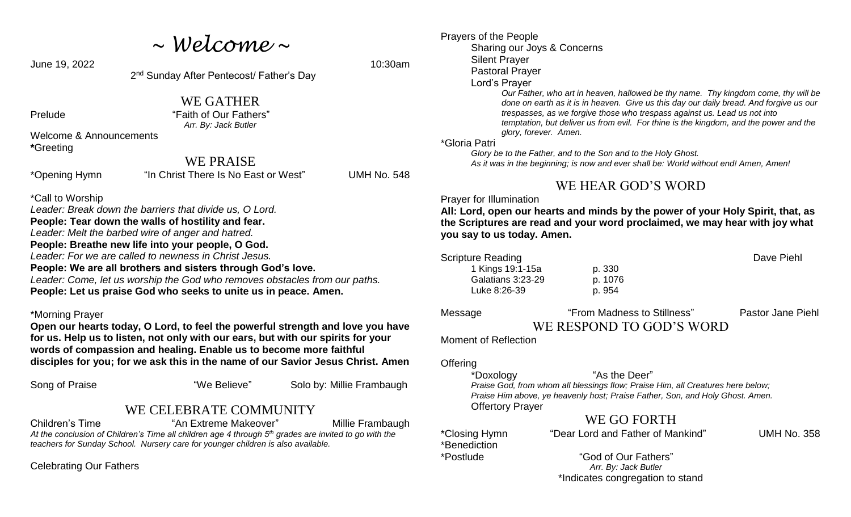*~ Welcome ~*

**June 19, 2022** 10:30am

2<sup>nd</sup> Sunday After Pentecost/ Father's Day

WE GATHER

Prelude "Faith of Our Fathers" *Arr. By: Jack Butler*

Welcome & Announcements **\***Greeting

### WE PRAISE

\*Opening Hymn "In Christ There Is No East or West" UMH No. 548

\*Call to Worship

*Leader: Break down the barriers that divide us, O Lord.*  **People: Tear down the walls of hostility and fear.**  *Leader: Melt the barbed wire of anger and hatred.* **People: Breathe new life into your people, O God.**  *Leader: For we are called to newness in Christ Jesus.*  **People: We are all brothers and sisters through God's love.** *Leader: Come, let us worship the God who removes obstacles from our paths.*  **People: Let us praise God who seeks to unite us in peace. Amen.** 

#### \*Morning Prayer

**Open our hearts today, O Lord, to feel the powerful strength and love you have for us. Help us to listen, not only with our ears, but with our spirits for your words of compassion and healing. Enable us to become more faithful disciples for you; for we ask this in the name of our Savior Jesus Christ. Amen** 

Song of Praise "We Believe" Solo by: Millie Frambaugh

### WE CELEBRATE COMMUNITY

Children's Time "An Extreme Makeover" Millie Frambaugh *At the conclusion of Children's Time all children age 4 through 5th grades are invited to go with the teachers for Sunday School. Nursery care for younger children is also available.*

Celebrating Our Fathers

Prayers of the People Sharing our Joys & Concerns Silent Prayer Pastoral Prayer Lord's Prayer *Our Father, who art in heaven, hallowed be thy name. Thy kingdom come, thy will be done on earth as it is in heaven. Give us this day our daily bread. And forgive us our trespasses, as we forgive those who trespass against us. Lead us not into temptation, but deliver us from evil. For thine is the kingdom, and the power and the glory, forever. Amen.* \*Gloria Patri

 *Glory be to the Father, and to the Son and to the Holy Ghost. As it was in the beginning; is now and ever shall be: World without end! Amen, Amen!* 

## WE HEAR GOD'S WORD

#### Prayer for Illumination

Moment of Reflection

**All: Lord, open our hearts and minds by the power of your Holy Spirit, that, as the Scriptures are read and your word proclaimed, we may hear with joy what you say to us today. Amen.**

Scripture Reading **Dave Piehl** 1 Kings 19:1-15a p. 330 Galatians 3:23-29 p. 1076 Luke 8:26-39 p. 954

Message "From Madness to Stillness" Pastor Jane Piehl WE RESPOND TO GOD'S WORD

**Offering** 

\*Doxology "As the Deer"

*Praise God, from whom all blessings flow; Praise Him, all Creatures here below; Praise Him above, ye heavenly host; Praise Father, Son, and Holy Ghost. Amen.* Offertory Prayer

# WE GO FORTH

\*Benediction

\*Closing Hymn "Dear Lord and Father of Mankind" UMH No. 358

\*Postlude "God of Our Fathers" *Arr. By: Jack Butler* \*Indicates congregation to stand